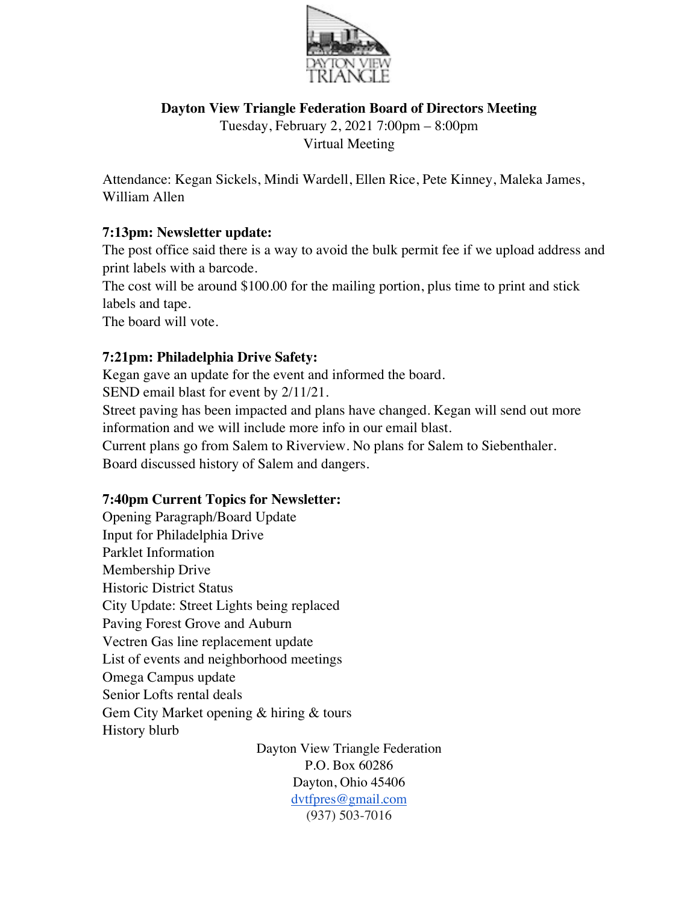

## **Dayton View Triangle Federation Board of Directors Meeting**

Tuesday, February 2, 2021 7:00pm – 8:00pm Virtual Meeting

Attendance: Kegan Sickels, Mindi Wardell, Ellen Rice, Pete Kinney, Maleka James, William Allen

## **7:13pm: Newsletter update:**

The post office said there is a way to avoid the bulk permit fee if we upload address and print labels with a barcode.

The cost will be around \$100.00 for the mailing portion, plus time to print and stick labels and tape.

The board will vote.

## **7:21pm: Philadelphia Drive Safety:**

Kegan gave an update for the event and informed the board.

SEND email blast for event by 2/11/21.

Street paving has been impacted and plans have changed. Kegan will send out more information and we will include more info in our email blast.

Current plans go from Salem to Riverview. No plans for Salem to Siebenthaler. Board discussed history of Salem and dangers.

## **7:40pm Current Topics for Newsletter:**

Opening Paragraph/Board Update Input for Philadelphia Drive Parklet Information Membership Drive Historic District Status City Update: Street Lights being replaced Paving Forest Grove and Auburn Vectren Gas line replacement update List of events and neighborhood meetings Omega Campus update Senior Lofts rental deals Gem City Market opening & hiring & tours History blurb

Dayton View Triangle Federation P.O. Box 60286 Dayton, Ohio 45406 dvtfpres@gmail.com (937) 503-7016